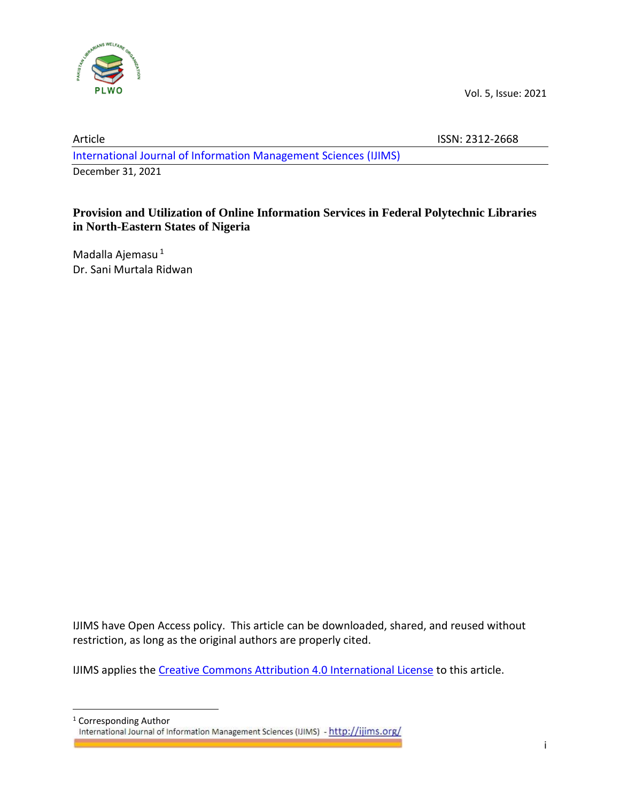

# Article ISSN: 2312-2668 [International Journal of Information Management Sciences](http://ijims.org/index.php/IJIMS) (IJIMS) December 31, 2021

# **Provision and Utilization of Online Information Services in Federal Polytechnic Libraries in North-Eastern States of Nigeria**

Madalla Ajemasu <sup>1</sup> Dr. Sani Murtala Ridwan

IJIMS have Open Access policy. This article can be downloaded, shared, and reused without restriction, as long as the original authors are properly cited.

IJIMS applies th[e Creative Commons Attribution 4.0 International License](https://creativecommons.org/licenses/by/4.0/) to this article.

<sup>1</sup> Corresponding Author<br>International Journal of Information Management Sciences (IJIMS) - http://ijims.org/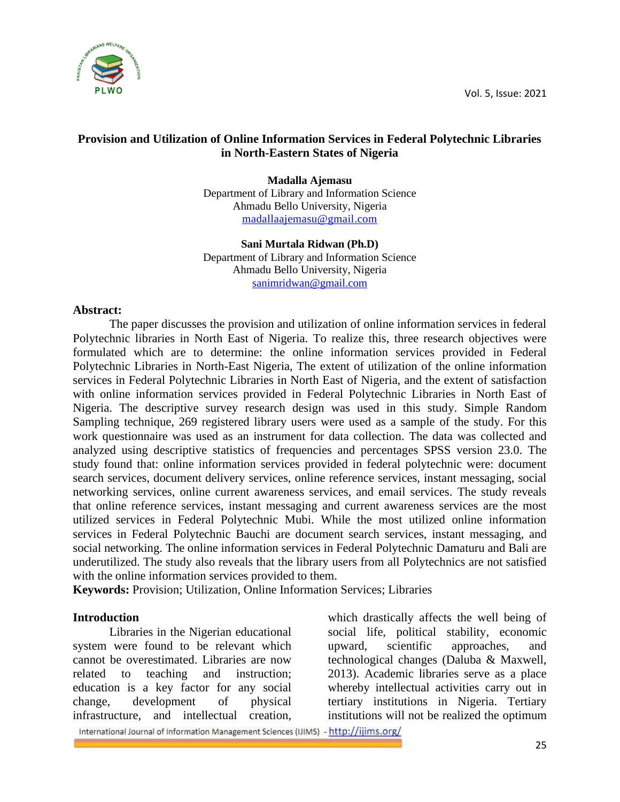

## **Provision and Utilization of Online Information Services in Federal Polytechnic Libraries in North-Eastern States of Nigeria**

**Madalla Ajemasu** Department of Library and Information Science Ahmadu Bello University, Nigeria [madallaajemasu@gmail.com](mailto:madallaajemasu@gmail.com)

**Sani Murtala Ridwan (Ph.D)** Department of Library and Information Science Ahmadu Bello University, Nigeria [sanimridwan@gmail.com](mailto:sanimridwan@gmail.com)

### **Abstract:**

The paper discusses the provision and utilization of online information services in federal Polytechnic libraries in North East of Nigeria. To realize this, three research objectives were formulated which are to determine: the online information services provided in Federal Polytechnic Libraries in North-East Nigeria, The extent of utilization of the online information services in Federal Polytechnic Libraries in North East of Nigeria, and the extent of satisfaction with online information services provided in Federal Polytechnic Libraries in North East of Nigeria. The descriptive survey research design was used in this study. Simple Random Sampling technique, 269 registered library users were used as a sample of the study. For this work questionnaire was used as an instrument for data collection. The data was collected and analyzed using descriptive statistics of frequencies and percentages SPSS version 23.0. The study found that: online information services provided in federal polytechnic were: document search services, document delivery services, online reference services, instant messaging, social networking services, online current awareness services, and email services. The study reveals that online reference services, instant messaging and current awareness services are the most utilized services in Federal Polytechnic Mubi. While the most utilized online information services in Federal Polytechnic Bauchi are document search services, instant messaging, and social networking. The online information services in Federal Polytechnic Damaturu and Bali are underutilized. The study also reveals that the library users from all Polytechnics are not satisfied with the online information services provided to them.

**Keywords:** Provision; Utilization, Online Information Services; Libraries

## **Introduction**

Libraries in the Nigerian educational system were found to be relevant which cannot be overestimated. Libraries are now related to teaching and instruction; education is a key factor for any social change, development of physical infrastructure, and intellectual creation,

which drastically affects the well being of social life, political stability, economic upward, scientific approaches, and technological changes (Daluba & Maxwell, 2013). Academic libraries serve as a place whereby intellectual activities carry out in tertiary institutions in Nigeria. Tertiary institutions will not be realized the optimum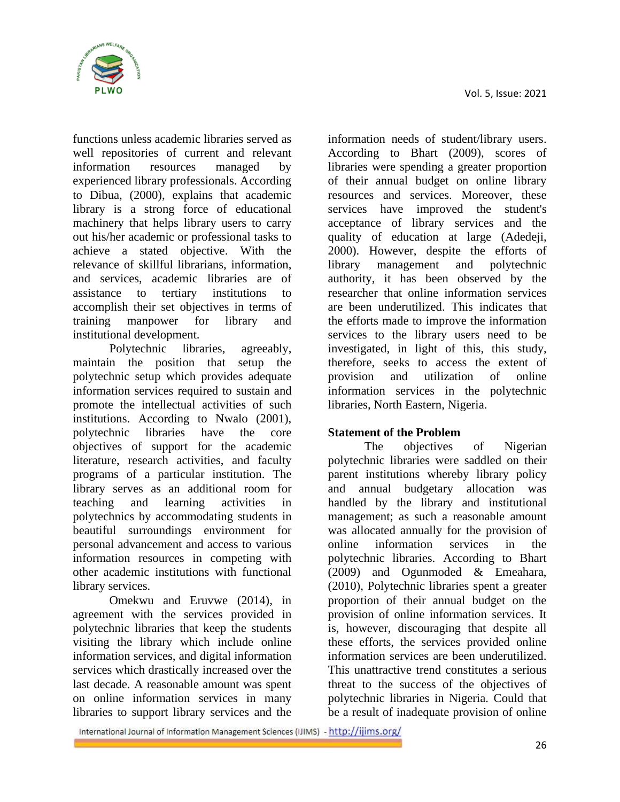

functions unless academic libraries served as well repositories of current and relevant information resources managed by experienced library professionals. According to Dibua, (2000), explains that academic library is a strong force of educational machinery that helps library users to carry out his/her academic or professional tasks to achieve a stated objective. With the relevance of skillful librarians, information, and services, academic libraries are of assistance to tertiary institutions to accomplish their set objectives in terms of training manpower for library and institutional development.

Polytechnic libraries, agreeably, maintain the position that setup the polytechnic setup which provides adequate information services required to sustain and promote the intellectual activities of such institutions. According to Nwalo (2001), polytechnic libraries have the core objectives of support for the academic literature, research activities, and faculty programs of a particular institution. The library serves as an additional room for teaching and learning activities in polytechnics by accommodating students in beautiful surroundings environment for personal advancement and access to various information resources in competing with other academic institutions with functional library services.

Omekwu and Eruvwe (2014), in agreement with the services provided in polytechnic libraries that keep the students visiting the library which include online information services, and digital information services which drastically increased over the last decade. A reasonable amount was spent on online information services in many libraries to support library services and the

information needs of student/library users. According to Bhart (2009), scores of libraries were spending a greater proportion of their annual budget on online library resources and services. Moreover, these services have improved the student's acceptance of library services and the quality of education at large (Adedeji, 2000). However, despite the efforts of library management and polytechnic authority, it has been observed by the researcher that online information services are been underutilized. This indicates that the efforts made to improve the information services to the library users need to be investigated, in light of this, this study, therefore, seeks to access the extent of provision and utilization of online information services in the polytechnic libraries, North Eastern, Nigeria.

## **Statement of the Problem**

The objectives of Nigerian polytechnic libraries were saddled on their parent institutions whereby library policy and annual budgetary allocation was handled by the library and institutional management; as such a reasonable amount was allocated annually for the provision of online information services in the polytechnic libraries. According to Bhart (2009) and Ogunmoded & Emeahara, (2010), Polytechnic libraries spent a greater proportion of their annual budget on the provision of online information services. It is, however, discouraging that despite all these efforts, the services provided online information services are been underutilized. This unattractive trend constitutes a serious threat to the success of the objectives of polytechnic libraries in Nigeria. Could that be a result of inadequate provision of online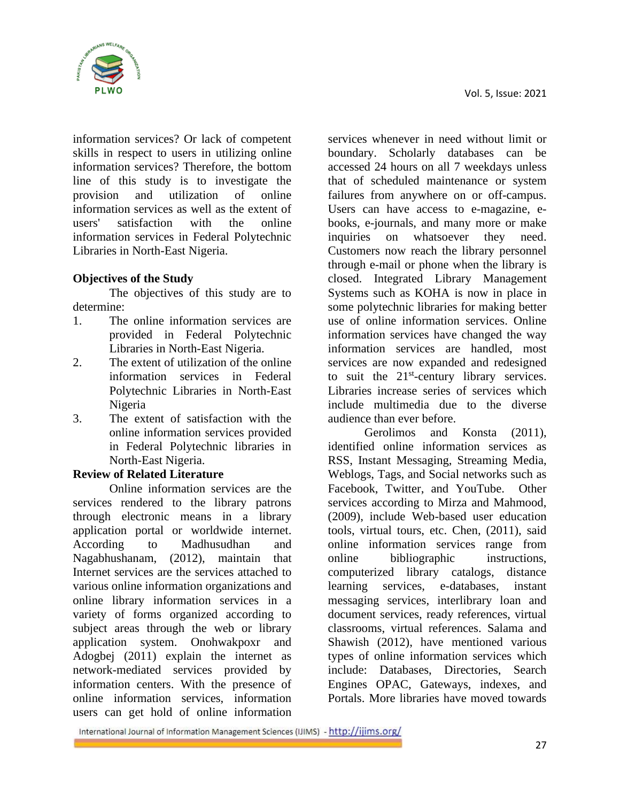

information services? Or lack of competent skills in respect to users in utilizing online information services? Therefore, the bottom line of this study is to investigate the provision and utilization of online information services as well as the extent of users' satisfaction with the online information services in Federal Polytechnic Libraries in North-East Nigeria.

## **Objectives of the Study**

The objectives of this study are to determine:

- 1. The online information services are provided in Federal Polytechnic Libraries in North-East Nigeria.
- 2. The extent of utilization of the online information services in Federal Polytechnic Libraries in North-East Nigeria
- 3. The extent of satisfaction with the online information services provided in Federal Polytechnic libraries in North-East Nigeria.

## **Review of Related Literature**

Online information services are the services rendered to the library patrons through electronic means in a library application portal or worldwide internet. According to Madhusudhan and Nagabhushanam, (2012), maintain that Internet services are the services attached to various online information organizations and online library information services in a variety of forms organized according to subject areas through the web or library application system. Onohwakpoxr and Adogbej (2011) explain the internet as network-mediated services provided by information centers. With the presence of online information services, information users can get hold of online information

services whenever in need without limit or boundary. Scholarly databases can be accessed 24 hours on all 7 weekdays unless that of scheduled maintenance or system failures from anywhere on or off-campus. Users can have access to e-magazine, ebooks, e-journals, and many more or make inquiries on whatsoever they need. Customers now reach the library personnel through e-mail or phone when the library is closed. Integrated Library Management Systems such as KOHA is now in place in some polytechnic libraries for making better use of online information services. Online information services have changed the way information services are handled, most services are now expanded and redesigned to suit the  $21<sup>st</sup>$ -century library services. Libraries increase series of services which include multimedia due to the diverse audience than ever before.

Gerolimos and Konsta (2011), identified online information services as RSS, Instant Messaging, Streaming Media, Weblogs, Tags, and Social networks such as Facebook, Twitter, and YouTube. Other services according to Mirza and Mahmood, (2009), include Web-based user education tools, virtual tours, etc. Chen, (2011), said online information services range from online bibliographic instructions, computerized library catalogs, distance learning services, e-databases, instant messaging services, interlibrary loan and document services, ready references, virtual classrooms, virtual references. Salama and Shawish (2012), have mentioned various types of online information services which include: Databases, Directories, Search Engines OPAC, Gateways, indexes, and Portals. More libraries have moved towards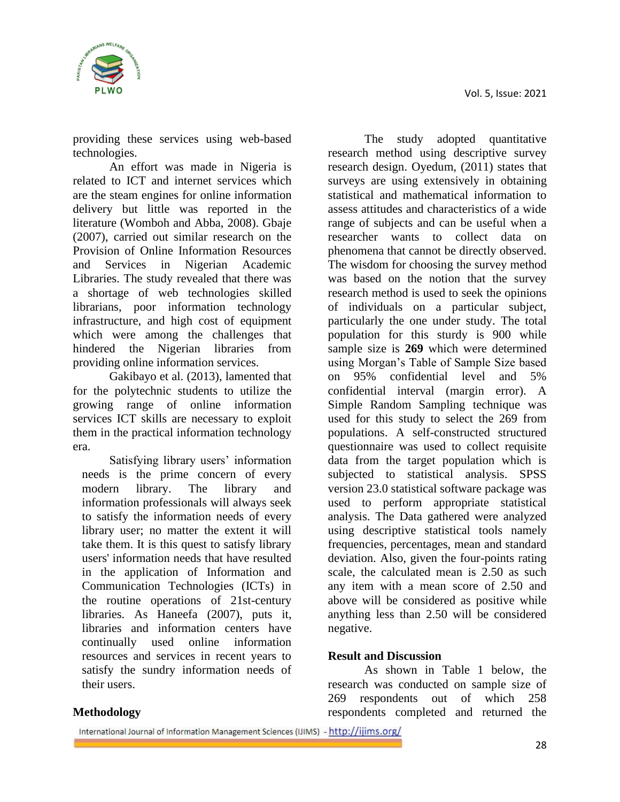

providing these services using web-based technologies.

An effort was made in Nigeria is related to ICT and internet services which are the steam engines for online information delivery but little was reported in the literature (Womboh and Abba, 2008). Gbaje (2007), carried out similar research on the Provision of Online Information Resources and Services in Nigerian Academic Libraries. The study revealed that there was a shortage of web technologies skilled librarians, poor information technology infrastructure, and high cost of equipment which were among the challenges that hindered the Nigerian libraries from providing online information services.

Gakibayo et al. (2013), lamented that for the polytechnic students to utilize the growing range of online information services ICT skills are necessary to exploit them in the practical information technology era.

Satisfying library users' information needs is the prime concern of every modern library. The library and information professionals will always seek to satisfy the information needs of every library user; no matter the extent it will take them. It is this quest to satisfy library users' information needs that have resulted in the application of Information and Communication Technologies (ICTs) in the routine operations of 21st-century libraries. As Haneefa (2007), puts it, libraries and information centers have continually used online information resources and services in recent years to satisfy the sundry information needs of their users.

The study adopted quantitative research method using descriptive survey research design. Oyedum, (2011) states that surveys are using extensively in obtaining statistical and mathematical information to assess attitudes and characteristics of a wide range of subjects and can be useful when a researcher wants to collect data on phenomena that cannot be directly observed. The wisdom for choosing the survey method was based on the notion that the survey research method is used to seek the opinions of individuals on a particular subject, particularly the one under study. The total population for this sturdy is 900 while sample size is **269** which were determined using Morgan's Table of Sample Size based on 95% confidential level and 5% confidential interval (margin error). A Simple Random Sampling technique was used for this study to select the 269 from populations. A self-constructed structured questionnaire was used to collect requisite data from the target population which is subjected to statistical analysis. SPSS version 23.0 statistical software package was used to perform appropriate statistical analysis. The Data gathered were analyzed using descriptive statistical tools namely frequencies, percentages, mean and standard deviation. Also, given the four-points rating scale, the calculated mean is 2.50 as such any item with a mean score of 2.50 and above will be considered as positive while anything less than 2.50 will be considered negative.

## **Result and Discussion**

As shown in Table 1 below, the research was conducted on sample size of 269 respondents out of which 258 respondents completed and returned the

## **Methodology**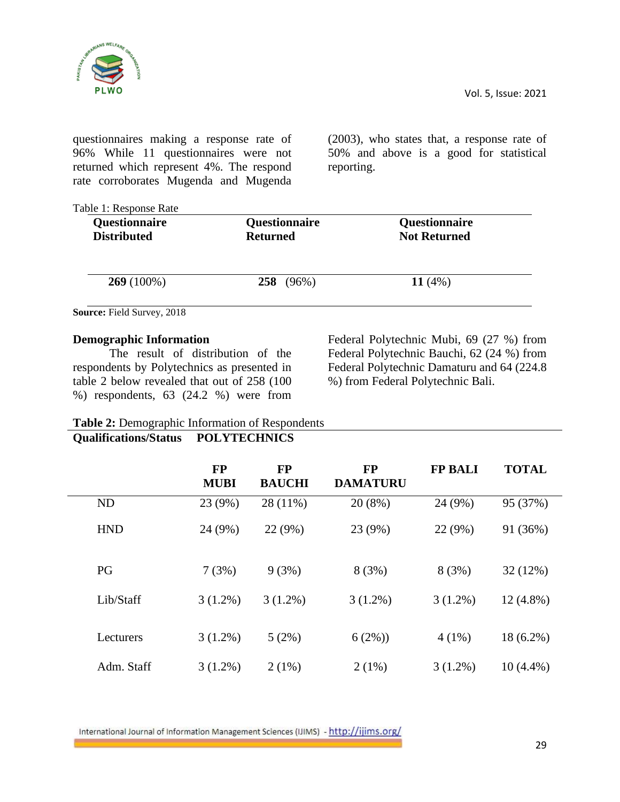

questionnaires making a response rate of 96% While 11 questionnaires were not returned which represent 4%. The respond rate corroborates Mugenda and Mugenda (2003), who states that, a response rate of 50% and above is a good for statistical reporting.

| Questionnaire<br><b>Distributed</b> | Questionnaire<br><b>Returned</b> | <b>Questionnaire</b><br><b>Not Returned</b> |
|-------------------------------------|----------------------------------|---------------------------------------------|
| $269(100\%)$                        | 258 (96%)                        | 11 $(4%)$                                   |
| Source: Field Survey, 2018          |                                  |                                             |

### **Demographic Information**

The result of distribution of the respondents by Polytechnics as presented in table 2 below revealed that out of 258 (100 %) respondents, 63 (24.2 %) were from

Federal Polytechnic Mubi, 69 (27 %) from Federal Polytechnic Bauchi, 62 (24 %) from Federal Polytechnic Damaturu and 64 (224.8 %) from Federal Polytechnic Bali.

## **Table 2:** Demographic Information of Respondents

# **Qualifications/Status POLYTECHNICS**

|            | <b>FP</b><br><b>MUBI</b> | <b>FP</b><br><b>BAUCHI</b> | <b>FP</b><br><b>DAMATURU</b> | <b>FP BALI</b> | <b>TOTAL</b> |
|------------|--------------------------|----------------------------|------------------------------|----------------|--------------|
| <b>ND</b>  | 23 (9%)                  | 28 (11%)                   | 20(8%)                       | 24 (9%)        | 95 (37%)     |
| <b>HND</b> | 24 (9%)                  | 22 (9%)                    | 23 (9%)                      | 22 (9%)        | 91 (36%)     |
| PG         | 7(3%)                    | 9(3%)                      | 8(3%)                        | 8(3%)          | 32 (12%)     |
| Lib/Staff  | $3(1.2\%)$               | $3(1.2\%)$                 | $3(1.2\%)$                   | $3(1.2\%)$     | $12(4.8\%)$  |
| Lecturers  | $3(1.2\%)$               | 5(2%)                      | 6(2%)                        | $4(1\%)$       | $18(6.2\%)$  |
| Adm. Staff | $3(1.2\%)$               | 2(1%)                      | 2(1%)                        | $3(1.2\%)$     | $10(4.4\%)$  |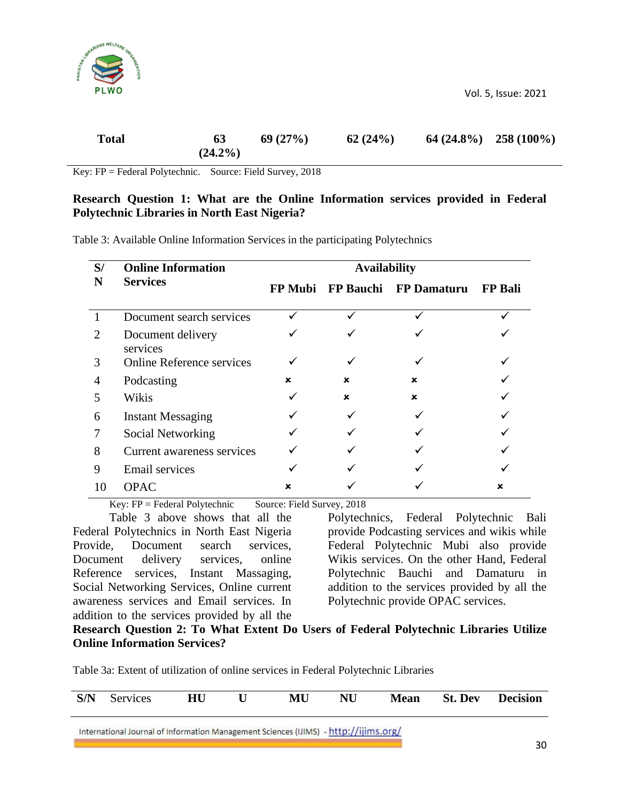

Key: FP = Federal Polytechnic. Source: Field Survey, 2018

### **Research Question 1: What are the Online Information services provided in Federal Polytechnic Libraries in North East Nigeria?**

Table 3: Available Online Information Services in the participating Polytechnics

| S/ | <b>Online Information</b>        | <b>Availability</b> |                   |                    |                |  |  |  |
|----|----------------------------------|---------------------|-------------------|--------------------|----------------|--|--|--|
| N  | <b>Services</b>                  |                     | FP Mubi FP Bauchi | <b>FP Damaturu</b> | <b>FP Bali</b> |  |  |  |
|    | Document search services         |                     |                   |                    |                |  |  |  |
| 2  | Document delivery<br>services    |                     |                   |                    |                |  |  |  |
| 3  | <b>Online Reference services</b> |                     |                   |                    |                |  |  |  |
|    | Podcasting                       | ×                   | ×                 | ×                  |                |  |  |  |
| 5  | Wikis                            |                     | ×                 | ×                  |                |  |  |  |
| 6  | <b>Instant Messaging</b>         |                     |                   |                    |                |  |  |  |
|    | Social Networking                |                     |                   |                    |                |  |  |  |
| 8  | Current awareness services       |                     |                   |                    |                |  |  |  |
| 9  | <b>Email services</b>            |                     |                   |                    |                |  |  |  |
| 10 | <b>OPAC</b>                      |                     |                   |                    |                |  |  |  |

Key:  $FP = Federal Polytechnic$  Source: Field Survey, 2018

Table 3 above shows that all the Federal Polytechnics in North East Nigeria Provide, Document search services, Document delivery services, online Reference services, Instant Massaging, Social Networking Services, Online current awareness services and Email services. In addition to the services provided by all the

Polytechnics, Federal Polytechnic Bali provide Podcasting services and wikis while Federal Polytechnic Mubi also provide Wikis services. On the other Hand, Federal Polytechnic Bauchi and Damaturu in addition to the services provided by all the Polytechnic provide OPAC services.

### **Research Question 2: To What Extent Do Users of Federal Polytechnic Libraries Utilize Online Information Services?**

Table 3a: Extent of utilization of online services in Federal Polytechnic Libraries

| S/N | Services                                                                             | <b>HU</b> | MU) | NU | Mean | <b>St. Dev</b> | <b>Decision</b> |
|-----|--------------------------------------------------------------------------------------|-----------|-----|----|------|----------------|-----------------|
|     | International Journal of Information Management Sciences (IJIMS) - http://ijims.org/ |           |     |    |      |                |                 |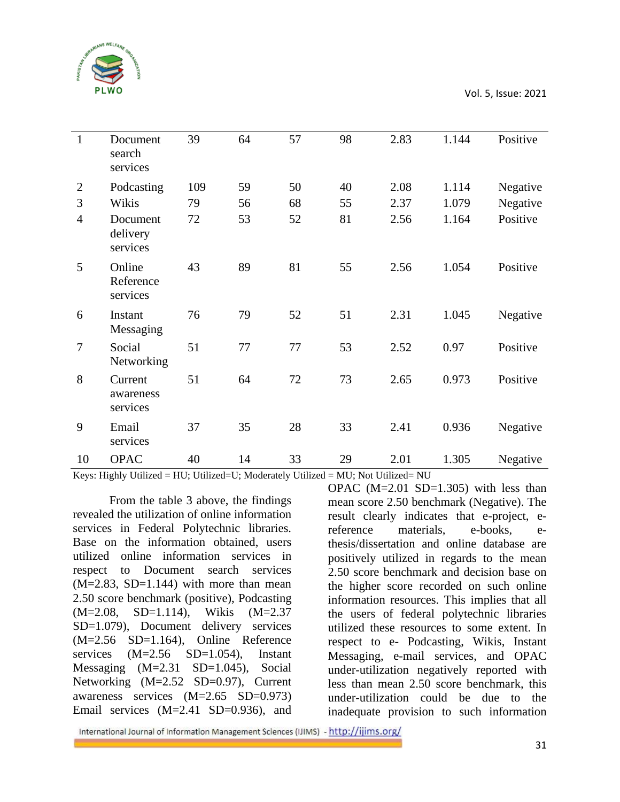

| $\mathbf{1}$   | Document<br>search<br>services   | 39  | 64 | 57 | 98 | 2.83 | 1.144 | Positive |
|----------------|----------------------------------|-----|----|----|----|------|-------|----------|
| $\overline{2}$ | Podcasting                       | 109 | 59 | 50 | 40 | 2.08 | 1.114 | Negative |
| 3              | Wikis                            | 79  | 56 | 68 | 55 | 2.37 | 1.079 | Negative |
| $\overline{4}$ | Document<br>delivery<br>services | 72  | 53 | 52 | 81 | 2.56 | 1.164 | Positive |
| 5              | Online<br>Reference<br>services  | 43  | 89 | 81 | 55 | 2.56 | 1.054 | Positive |
| 6              | Instant<br>Messaging             | 76  | 79 | 52 | 51 | 2.31 | 1.045 | Negative |
| $\overline{7}$ | Social<br>Networking             | 51  | 77 | 77 | 53 | 2.52 | 0.97  | Positive |
| 8              | Current<br>awareness<br>services | 51  | 64 | 72 | 73 | 2.65 | 0.973 | Positive |
| 9              | Email<br>services                | 37  | 35 | 28 | 33 | 2.41 | 0.936 | Negative |
| 10             | <b>OPAC</b>                      | 40  | 14 | 33 | 29 | 2.01 | 1.305 | Negative |

Keys: Highly Utilized = HU; Utilized=U; Moderately Utilized = MU; Not Utilized = NU

From the table 3 above, the findings revealed the utilization of online information services in Federal Polytechnic libraries. Base on the information obtained, users utilized online information services in respect to Document search services  $(M=2.83, SD=1.144)$  with more than mean 2.50 score benchmark (positive), Podcasting (M=2.08, SD=1.114), Wikis (M=2.37 SD=1.079), Document delivery services (M=2.56 SD=1.164), Online Reference services (M=2.56 SD=1.054), Instant Messaging (M=2.31 SD=1.045), Social Networking (M=2.52 SD=0.97), Current awareness services (M=2.65 SD=0.973) Email services (M=2.41 SD=0.936), and

OPAC  $(M=2.01$  SD $=1.305$ ) with less than mean score 2.50 benchmark (Negative). The result clearly indicates that e-project, ereference materials, e-books, ethesis/dissertation and online database are positively utilized in regards to the mean 2.50 score benchmark and decision base on the higher score recorded on such online information resources. This implies that all the users of federal polytechnic libraries utilized these resources to some extent. In respect to e- Podcasting, Wikis, Instant Messaging, e-mail services, and OPAC under-utilization negatively reported with less than mean 2.50 score benchmark, this under-utilization could be due to the inadequate provision to such information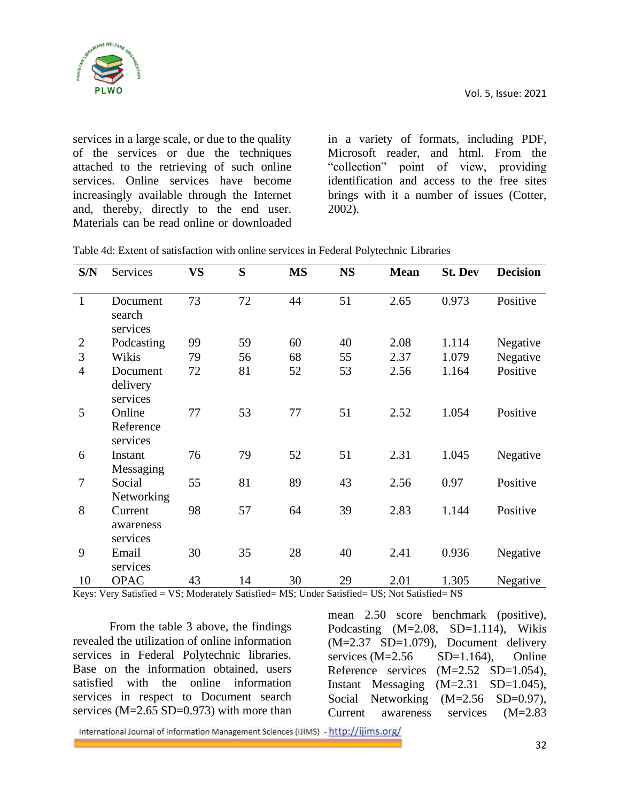services in a large scale, or due to the quality of the services or due the techniques attached to the retrieving of such online services. Online services have become increasingly available through the Internet and, thereby, directly to the end user. Materials can be read online or downloaded

in a variety of formats, including PDF, Microsoft reader, and html. From the "collection" point of view, providing identification and access to the free sites brings with it a number of issues (Cotter, 2002).

| S/N            | Services                         | <b>VS</b> | S  | <b>MS</b> | <b>NS</b> | <b>Mean</b> | <b>St. Dev</b> | <b>Decision</b> |
|----------------|----------------------------------|-----------|----|-----------|-----------|-------------|----------------|-----------------|
| $\mathbf{1}$   | Document<br>search<br>services   | 73        | 72 | 44        | 51        | 2.65        | 0.973          | Positive        |
| $\mathbf{2}$   | Podcasting                       | 99        | 59 | 60        | 40        | 2.08        | 1.114          | Negative        |
| 3              | Wikis                            | 79        | 56 | 68        | 55        | 2.37        | 1.079          | Negative        |
| $\overline{4}$ | Document<br>delivery<br>services | 72        | 81 | 52        | 53        | 2.56        | 1.164          | Positive        |
| 5              | Online<br>Reference<br>services  | 77        | 53 | 77        | 51        | 2.52        | 1.054          | Positive        |
| 6              | Instant<br>Messaging             | 76        | 79 | 52        | 51        | 2.31        | 1.045          | Negative        |
| 7              | Social<br>Networking             | 55        | 81 | 89        | 43        | 2.56        | 0.97           | Positive        |
| 8              | Current<br>awareness<br>services | 98        | 57 | 64        | 39        | 2.83        | 1.144          | Positive        |
| 9              | Email<br>services                | 30        | 35 | 28        | 40        | 2.41        | 0.936          | Negative        |
| 10             | <b>OPAC</b>                      | 43        | 14 | 30        | 29        | 2.01        | 1.305          | Negative        |

Table 4d: Extent of satisfaction with online services in Federal Polytechnic Libraries

Keys: Very Satisfied = VS; Moderately Satisfied = MS; Under Satisfied = US; Not Satisfied = NS

From the table 3 above, the findings revealed the utilization of online information services in Federal Polytechnic libraries. Base on the information obtained, users satisfied with the online information services in respect to Document search services ( $M=2.65$  SD=0.973) with more than

mean 2.50 score benchmark (positive), Podcasting (M=2.08, SD=1.114), Wikis (M=2.37 SD=1.079), Document delivery services  $(M=2.56$  SD=1.164), Online Reference services (M=2.52 SD=1.054), Instant Messaging (M=2.31 SD=1.045), Social Networking (M=2.56 SD=0.97), Current awareness services (M=2.83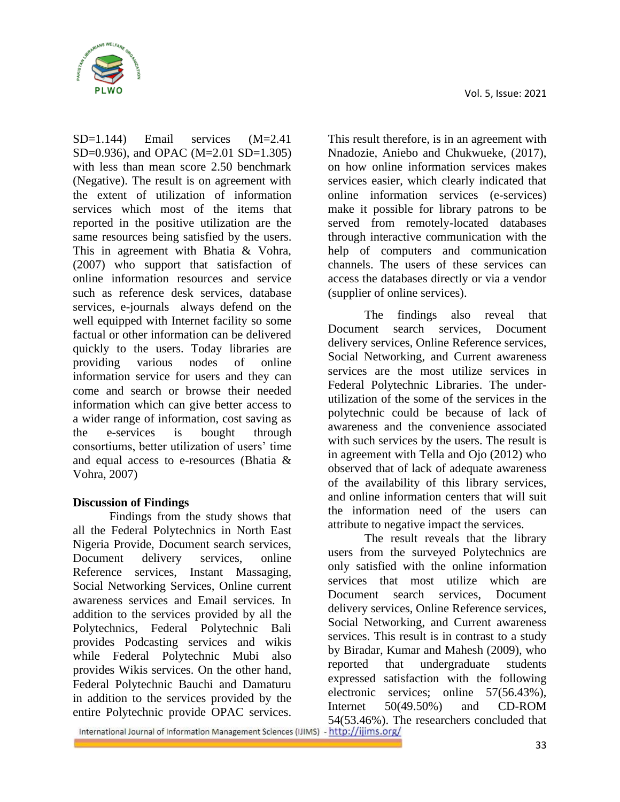

SD=1.144) Email services (M=2.41 SD=0.936), and OPAC (M=2.01 SD=1.305) with less than mean score 2.50 benchmark (Negative). The result is on agreement with the extent of utilization of information services which most of the items that reported in the positive utilization are the same resources being satisfied by the users. This in agreement with Bhatia & Vohra, (2007) who support that satisfaction of online information resources and service such as reference desk services, database services, e-journals always defend on the well equipped with Internet facility so some factual or other information can be delivered quickly to the users. Today libraries are providing various nodes of online information service for users and they can come and search or browse their needed information which can give better access to a wider range of information, cost saving as the e-services is bought through consortiums, better utilization of users' time and equal access to e-resources (Bhatia & Vohra, 2007)

## **Discussion of Findings**

Findings from the study shows that all the Federal Polytechnics in North East Nigeria Provide, Document search services, Document delivery services, online Reference services, Instant Massaging, Social Networking Services, Online current awareness services and Email services. In addition to the services provided by all the Polytechnics, Federal Polytechnic Bali provides Podcasting services and wikis while Federal Polytechnic Mubi also provides Wikis services. On the other hand, Federal Polytechnic Bauchi and Damaturu in addition to the services provided by the entire Polytechnic provide OPAC services.

This result therefore, is in an agreement with Nnadozie, Aniebo and Chukwueke, (2017), on how online information services makes services easier, which clearly indicated that online information services (e-services) make it possible for library patrons to be served from remotely-located databases through interactive communication with the help of computers and communication channels. The users of these services can access the databases directly or via a vendor (supplier of online services).

The findings also reveal that Document search services, Document delivery services, Online Reference services, Social Networking, and Current awareness services are the most utilize services in Federal Polytechnic Libraries. The underutilization of the some of the services in the polytechnic could be because of lack of awareness and the convenience associated with such services by the users. The result is in agreement with Tella and Ojo (2012) who observed that of lack of adequate awareness of the availability of this library services, and online information centers that will suit the information need of the users can attribute to negative impact the services.

The result reveals that the library users from the surveyed Polytechnics are only satisfied with the online information services that most utilize which are Document search services, Document delivery services, Online Reference services, Social Networking, and Current awareness services. This result is in contrast to a study by Biradar, Kumar and Mahesh (2009), who reported that undergraduate students expressed satisfaction with the following electronic services; online 57(56.43%), Internet 50(49.50%) and CD-ROM 54(53.46%). The researchers concluded that<br>International Journal of Information Management Sciences (IJIMS) - http://ijims.org/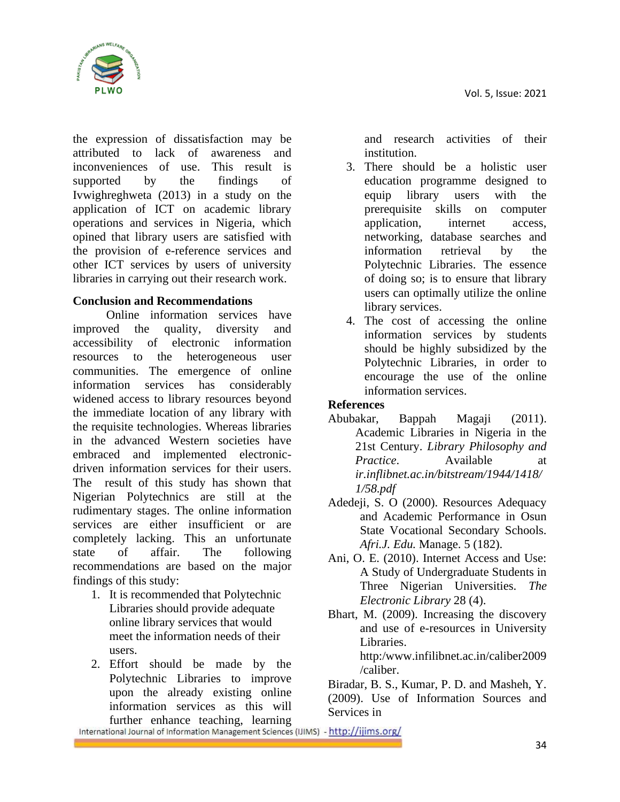

the expression of dissatisfaction may be attributed to lack of awareness and inconveniences of use. This result is supported by the findings of Ivwighreghweta (2013) in a study on the application of ICT on academic library operations and services in Nigeria, which opined that library users are satisfied with the provision of e-reference services and other ICT services by users of university libraries in carrying out their research work.

## **Conclusion and Recommendations**

Online information services have improved the quality, diversity and accessibility of electronic information resources to the heterogeneous user communities. The emergence of online information services has considerably widened access to library resources beyond the immediate location of any library with the requisite technologies. Whereas libraries in the advanced Western societies have embraced and implemented electronicdriven information services for their users. The result of this study has shown that Nigerian Polytechnics are still at the rudimentary stages. The online information services are either insufficient or are completely lacking. This an unfortunate state of affair. The following recommendations are based on the major findings of this study:

- 1. It is recommended that Polytechnic Libraries should provide adequate online library services that would meet the information needs of their users.
- 2. Effort should be made by the Polytechnic Libraries to improve upon the already existing online information services as this will

and research activities of their institution.

- 3. There should be a holistic user education programme designed to equip library users with the prerequisite skills on computer application, internet access, networking, database searches and information retrieval by the Polytechnic Libraries. The essence of doing so; is to ensure that library users can optimally utilize the online library services.
- 4. The cost of accessing the online information services by students should be highly subsidized by the Polytechnic Libraries, in order to encourage the use of the online information services.

## **References**

- Abubakar, [Bappah Magaji \(](mailto:magaji02@yahoo.com)2011). Academic Libraries in Nigeria in the 21st Century. *Library Philosophy and Practice*. Available at *ir.inflibnet.ac.in/bitstream/1944/1418/ 1/58.pdf*
- Adedeji, S. O (2000). Resources Adequacy and Academic Performance in Osun State Vocational Secondary Schools. *Afri.J. Edu.* Manage. 5 (182).
- Ani, O. E. (2010). Internet Access and Use: A Study of Undergraduate Students in Three Nigerian Universities. *The Electronic Library* 28 (4).
- Bhart, M. (2009). Increasing the discovery and use of e-resources in University Libraries.

http:/www.infilibnet.ac.in/caliber2009 /caliber.

Biradar, B. S., Kumar, P. D. and Masheh, Y. (2009). Use of Information Sources and Services in

further enhance teaching, learning<br>International Journal of Information Management Sciences (IJIMS) - http://ijims.org/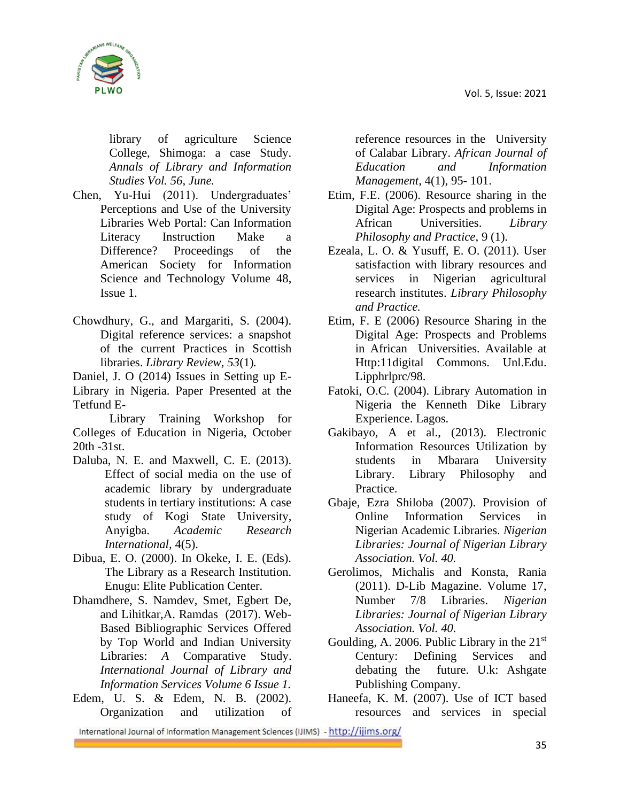

library of agriculture Science College, Shimoga: a case Study. *Annals of Library and Information Studies Vol. 56, June.* 

- Chen, Yu-Hui (2011). Undergraduates' Perceptions and Use of the University Libraries Web Portal: Can Information Literacy Instruction Make a Difference? [Proceedings of the](http://onlinelibrary.wiley.com/journal/10.1002/%28ISSN%291550-8390)  [American Society for Information](http://onlinelibrary.wiley.com/journal/10.1002/%28ISSN%291550-8390)  [Science and Technology](http://onlinelibrary.wiley.com/journal/10.1002/%28ISSN%291550-8390) [Volume 48,](http://onlinelibrary.wiley.com/doi/10.1002/meet.145.v48:1/issuetoc)  [Issue 1.](http://onlinelibrary.wiley.com/doi/10.1002/meet.145.v48:1/issuetoc)
- Chowdhury, G., and Margariti, S. (2004). Digital reference services: a snapshot of the current Practices in Scottish libraries. *Library Review, 53*(1)*.*

Daniel, J. O (2014) Issues in Setting up E-Library in Nigeria. Paper Presented at the Tetfund E-

Library Training Workshop for Colleges of Education in Nigeria, October 20th -31st.

- Daluba, N. E. and Maxwell, C. E. (2013). Effect of social media on the use of academic library by undergraduate students in tertiary institutions: A case study of Kogi State University, Anyigba. *Academic Research International,* 4(5).
- Dibua, E. O. (2000). In Okeke, I. E. (Eds). The Library as a Research Institution*.*  Enugu: Elite Publication Center.
- Dhamdhere, S. Namdev, Smet, Egbert De, and Lihitkar,A. Ramdas (2017). Web-Based Bibliographic Services Offered by Top World and Indian University Libraries: *A* Comparative Study. *International Journal of Library and Information Services Volume 6 Issue 1.*
- Edem, U. S. & Edem, N. B. (2002). Organization and utilization of

reference resources in the University of Calabar Library. *African Journal of Education and Information Management,* 4(1), 95- 101.

- Etim, F.E. (2006). Resource sharing in the Digital Age: Prospects and problems in African Universities. *Library Philosophy and Practice*, 9 (1).
- Ezeala, L. O. & Yusuff, E. O. (2011). User satisfaction with library resources and services in Nigerian agricultural research institutes. *Library Philosophy and Practice.*
- Etim, F. E (2006) Resource Sharing in the Digital Age: Prospects and Problems in African Universities. Available at Http:11digital Commons. Unl.Edu. Lipphrlprc/98.
- Fatoki, O.C. (2004). Library Automation in Nigeria the Kenneth Dike Library Experience. Lagos.
- Gakibayo, A et al., (2013). Electronic Information Resources Utilization by students in Mbarara University Library. Library Philosophy and Practice.
- Gbaje, Ezra Shiloba (2007). Provision of Online Information Services in Nigerian Academic Libraries. *Nigerian Libraries: Journal of Nigerian Library Association. Vol. 40.*
- Gerolimos, Michalis and Konsta, Rania (2011). D-Lib Magazine. Volume 17, Number 7/8 Libraries. *Nigerian Libraries: Journal of Nigerian Library Association. Vol. 40.*
- Goulding, A. 2006. Public Library in the  $21<sup>st</sup>$ Century: Defining Services and debating the future. U.k: Ashgate Publishing Company.
- Haneefa, K. M. (2007). Use of ICT based resources and services in special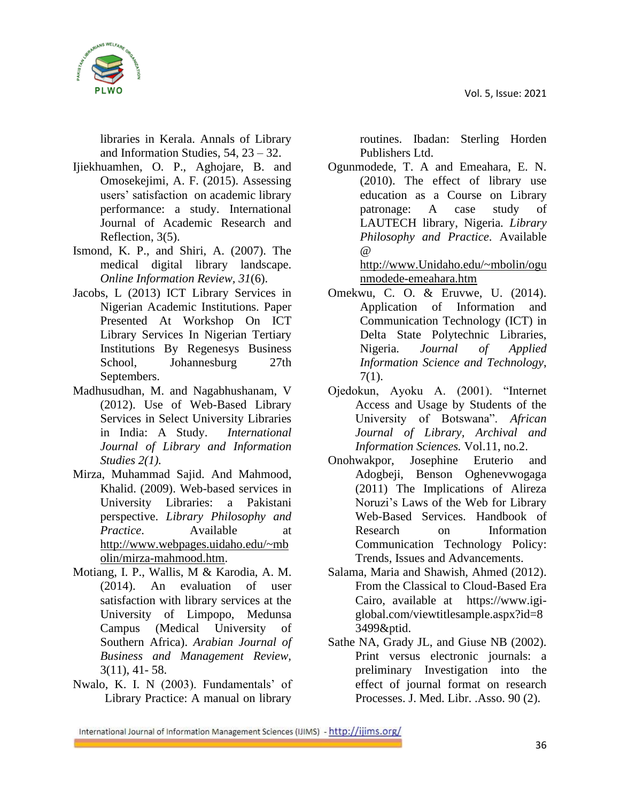

libraries in Kerala. Annals of Library and Information Studies,  $54$ ,  $23 - 32$ .

- Ijiekhuamhen, O. P., Aghojare, B. and Omosekejimi, A. F. (2015). Assessing users' satisfaction on academic library performance: a study. International Journal of Academic Research and Reflection, 3(5).
- Ismond, K. P., and Shiri, A. (2007). The medical digital library landscape. *Online Information Review, 31*(6).
- Jacobs, L (2013) ICT Library Services in Nigerian Academic Institutions. Paper Presented At Workshop On ICT Library Services In Nigerian Tertiary Institutions By Regenesys Business School, Johannesburg 27th Septembers.
- Madhusudhan, M. and Nagabhushanam, V (2012). Use of Web-Based Library Services in Select University Libraries in India: A Study. *International Journal of Library and Information Studies 2(1).*
- Mirza, Muhammad Sajid. And Mahmood, Khalid. (2009). Web-based services in University Libraries: a Pakistani perspective. *Library Philosophy and Practice*. Available at [http://www.webpages.uidaho.edu/~mb](http://www.webpages.uidaho.edu/~mbolin/mirza-mahmood.htm) [olin/mirza-mahmood.htm.](http://www.webpages.uidaho.edu/~mbolin/mirza-mahmood.htm)
- Motiang, I. P., Wallis, M & Karodia, A. M. (2014). An evaluation of user satisfaction with library services at the University of Limpopo, Medunsa Campus (Medical University of Southern Africa). *Arabian Journal of Business and Management Review,*  3(11), 41- 58.
- Nwalo, K. I. N (2003). Fundamentals' of Library Practice: A manual on library

routines. Ibadan: Sterling Horden Publishers Ltd.

Ogunmodede, T. A and Emeahara, E. N. (2010). The effect of library use education as a Course on Library patronage: A case study of LAUTECH library, Nigeria. *Library Philosophy and Practice*. Available @ [http://www.Unidaho.edu/~mbolin/ogu](http://www.unidaho.edu/~mbolin/ogunmodede-emeahara.htm)

[nmodede-emeahara.htm](http://www.unidaho.edu/~mbolin/ogunmodede-emeahara.htm)

- Omekwu, C. O. & Eruvwe, U. (2014). Application of Information and Communication Technology (ICT) in Delta State Polytechnic Libraries, Nigeria. *Journal of Applied Information Science and Technology*, 7(1).
- Ojedokun, Ayoku A. (2001). "Internet Access and Usage by Students of the University of Botswana". *African Journal of Library, Archival and Information Sciences.* Vol.11, no.2.
- Onohwakpor, Josephine Eruterio and Adogbeji, Benson Oghenevwogaga (2011) The Implications of Alireza Noruzi's Laws of the Web for Library Web-Based Services. [Handbook of](https://www.igi-global.com/book/handbook-research-information-communication-technology/41798)  [Research on Information](https://www.igi-global.com/book/handbook-research-information-communication-technology/41798)  [Communication Technology Policy:](https://www.igi-global.com/book/handbook-research-information-communication-technology/41798)  [Trends, Issues and Advancements.](https://www.igi-global.com/book/handbook-research-information-communication-technology/41798)
- Salama, Maria and Shawish, Ahmed (2012). From the Classical to Cloud-Based Era Cairo, available at [https://www.igi](https://www.igi-global.com/viewtitlesample.aspx?id=83499&ptid)[global.com/viewtitlesample.aspx?id=8](https://www.igi-global.com/viewtitlesample.aspx?id=83499&ptid) [3499&ptid.](https://www.igi-global.com/viewtitlesample.aspx?id=83499&ptid)
- Sathe NA, Grady JL, and Giuse NB (2002). Print versus electronic journals: a preliminary Investigation into the effect of journal format on research Processes. J. Med. Libr. .Asso. 90 (2).

International Journal of Information Management Sciences (IJIMS) - http://ijims.org/